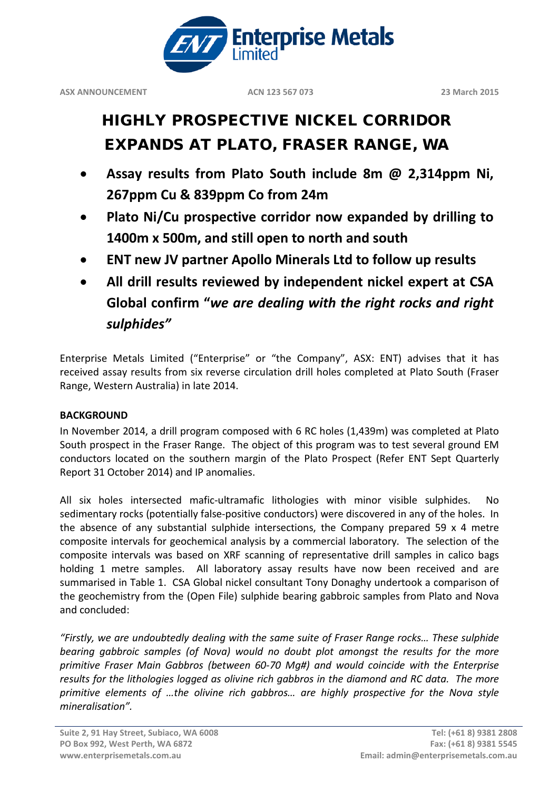

# HIGHLY PROSPECTIVE NICKEL CORRIDOR EXPANDS AT PLATO, FRASER RANGE, WA

- **Assay results from Plato South include 8m @ 2,314ppm Ni, 267ppm Cu & 839ppm Co from 24m**
- **Plato Ni/Cu prospective corridor now expanded by drilling to 1400m x 500m, and still open to north and south**
- **ENT new JV partner Apollo Minerals Ltd to follow up results**
- **All drill results reviewed by independent nickel expert at CSA Global confirm "***we are dealing with the right rocks and right sulphides"*

Enterprise Metals Limited ("Enterprise" or "the Company", ASX: ENT) advises that it has received assay results from six reverse circulation drill holes completed at Plato South (Fraser Range, Western Australia) in late 2014.

### **BACKGROUND**

In November 2014, a drill program composed with 6 RC holes (1,439m) was completed at Plato South prospect in the Fraser Range. The object of this program was to test several ground EM conductors located on the southern margin of the Plato Prospect (Refer ENT Sept Quarterly Report 31 October 2014) and IP anomalies.

All six holes intersected mafic-ultramafic lithologies with minor visible sulphides. No sedimentary rocks (potentially false-positive conductors) were discovered in any of the holes. In the absence of any substantial sulphide intersections, the Company prepared 59 x 4 metre composite intervals for geochemical analysis by a commercial laboratory. The selection of the composite intervals was based on XRF scanning of representative drill samples in calico bags holding 1 metre samples. All laboratory assay results have now been received and are summarised in Table 1. CSA Global nickel consultant Tony Donaghy undertook a comparison of the geochemistry from the (Open File) sulphide bearing gabbroic samples from Plato and Nova and concluded:

*"Firstly, we are undoubtedly dealing with the same suite of Fraser Range rocks… These sulphide bearing gabbroic samples (of Nova) would no doubt plot amongst the results for the more primitive Fraser Main Gabbros (between 60-70 Mg#) and would coincide with the Enterprise results for the lithologies logged as olivine rich gabbros in the diamond and RC data. The more primitive elements of …the olivine rich gabbros… are highly prospective for the Nova style mineralisation".*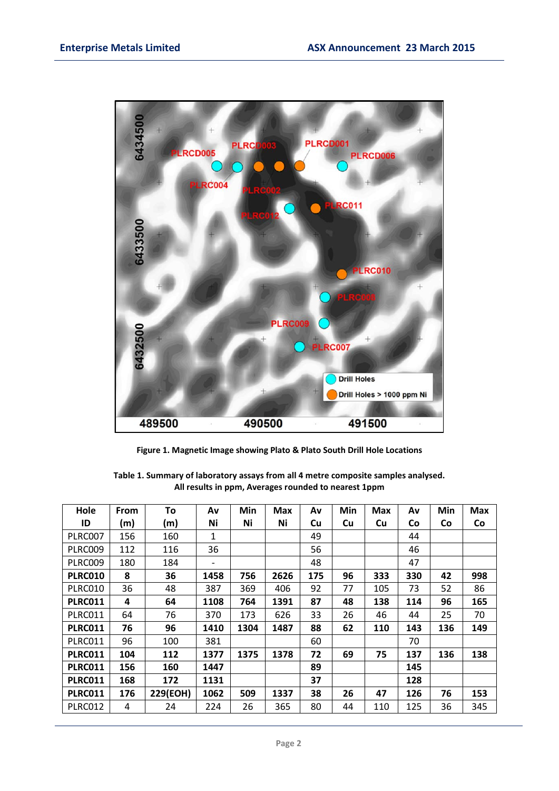

**Figure 1. Magnetic Image showing Plato & Plato South Drill Hole Locations**

| Hole           | <b>From</b> | To       | Av   | Min  | <b>Max</b> | Av        | Min | <b>Max</b> | Av  | Min       | <b>Max</b> |
|----------------|-------------|----------|------|------|------------|-----------|-----|------------|-----|-----------|------------|
| ID             | (m)         | (m)      | Ni   | Ni   | Ni         | <b>Cu</b> | Cu  | Cu         | Co  | <b>Co</b> | Co         |
| PLRC007        | 156         | 160      | 1    |      |            | 49        |     |            | 44  |           |            |
| PLRC009        | 112         | 116      | 36   |      |            | 56        |     |            | 46  |           |            |
| PLRC009        | 180         | 184      |      |      |            | 48        |     |            | 47  |           |            |
| <b>PLRC010</b> | 8           | 36       | 1458 | 756  | 2626       | 175       | 96  | 333        | 330 | 42        | 998        |
| <b>PLRC010</b> | 36          | 48       | 387  | 369  | 406        | 92        | 77  | 105        | 73  | 52        | 86         |
| <b>PLRC011</b> | 4           | 64       | 1108 | 764  | 1391       | 87        | 48  | 138        | 114 | 96        | 165        |
| PLRC011        | 64          | 76       | 370  | 173  | 626        | 33        | 26  | 46         | 44  | 25        | 70         |
| <b>PLRC011</b> | 76          | 96       | 1410 | 1304 | 1487       | 88        | 62  | 110        | 143 | 136       | 149        |
| PLRC011        | 96          | 100      | 381  |      |            | 60        |     |            | 70  |           |            |
| <b>PLRC011</b> | 104         | 112      | 1377 | 1375 | 1378       | 72        | 69  | 75         | 137 | 136       | 138        |
| <b>PLRC011</b> | 156         | 160      | 1447 |      |            | 89        |     |            | 145 |           |            |
| <b>PLRC011</b> | 168         | 172      | 1131 |      |            | 37        |     |            | 128 |           |            |
| <b>PLRC011</b> | 176         | 229(EOH) | 1062 | 509  | 1337       | 38        | 26  | 47         | 126 | 76        | 153        |
| PLRC012        | 4           | 24       | 224  | 26   | 365        | 80        | 44  | 110        | 125 | 36        | 345        |

**Table 1. Summary of laboratory assays from all 4 metre composite samples analysed. All results in ppm, Averages rounded to nearest 1ppm**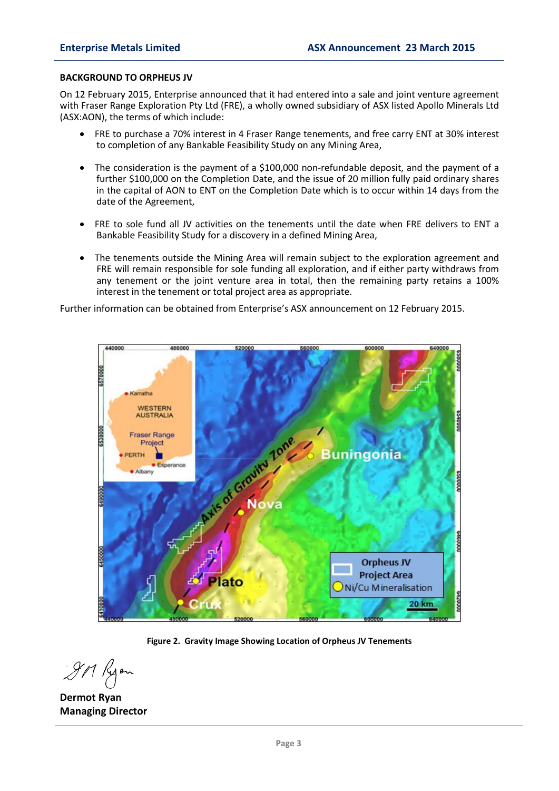#### **BACKGROUND TO ORPHEUS JV**

On 12 February 2015, Enterprise announced that it had entered into a sale and joint venture agreement with Fraser Range Exploration Pty Ltd (FRE), a wholly owned subsidiary of ASX listed Apollo Minerals Ltd (ASX:AON), the terms of which include:

- FRE to purchase a 70% interest in 4 Fraser Range tenements, and free carry ENT at 30% interest to completion of any Bankable Feasibility Study on any Mining Area,
- The consideration is the payment of a \$100,000 non-refundable deposit, and the payment of a further \$100,000 on the Completion Date, and the issue of 20 million fully paid ordinary shares in the capital of AON to ENT on the Completion Date which is to occur within 14 days from the date of the Agreement,
- FRE to sole fund all JV activities on the tenements until the date when FRE delivers to ENT a Bankable Feasibility Study for a discovery in a defined Mining Area,
- The tenements outside the Mining Area will remain subject to the exploration agreement and FRE will remain responsible for sole funding all exploration, and if either party withdraws from any tenement or the joint venture area in total, then the remaining party retains a 100% interest in the tenement or total project area as appropriate.

Further information can be obtained from Enterprise's ASX announcement on 12 February 2015.



**Figure 2. Gravity Image Showing Location of Orpheus JV Tenements**

**Dermot Ryan Managing Director**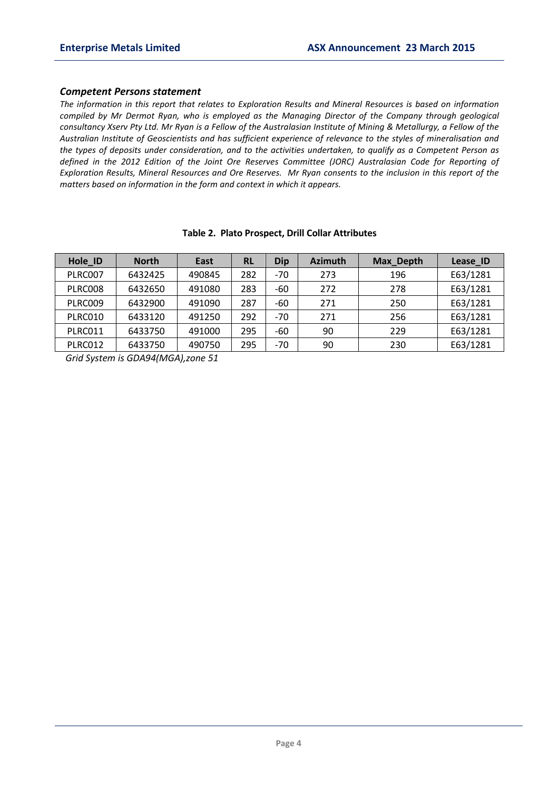#### *Competent Persons statement*

*The information in this report that relates to Exploration Results and Mineral Resources is based on information compiled by Mr Dermot Ryan, who is employed as the Managing Director of the Company through geological consultancy Xserv Pty Ltd. Mr Ryan is a Fellow of the Australasian Institute of Mining & Metallurgy, a Fellow of the Australian Institute of Geoscientists and has sufficient experience of relevance to the styles of mineralisation and the types of deposits under consideration, and to the activities undertaken, to qualify as a Competent Person as defined in the 2012 Edition of the Joint Ore Reserves Committee (JORC) Australasian Code for Reporting of Exploration Results, Mineral Resources and Ore Reserves. Mr Ryan consents to the inclusion in this report of the matters based on information in the form and context in which it appears.*

| Hole ID | <b>North</b> | East   | RL  | Dip   | <b>Azimuth</b> | Max_Depth | Lease_ID |
|---------|--------------|--------|-----|-------|----------------|-----------|----------|
| PLRC007 | 6432425      | 490845 | 282 | $-70$ | 273            | 196       | E63/1281 |
| PLRC008 | 6432650      | 491080 | 283 | -60   | 272            | 278       | E63/1281 |
| PLRC009 | 6432900      | 491090 | 287 | -60   | 271            | 250       | E63/1281 |
| PLRC010 | 6433120      | 491250 | 292 | $-70$ | 271            | 256       | E63/1281 |
| PLRC011 | 6433750      | 491000 | 295 | $-60$ | 90             | 229       | E63/1281 |
| PLRC012 | 6433750      | 490750 | 295 | $-70$ | 90             | 230       | E63/1281 |

#### **Table 2. Plato Prospect, Drill Collar Attributes**

*Grid System is GDA94(MGA),zone 51*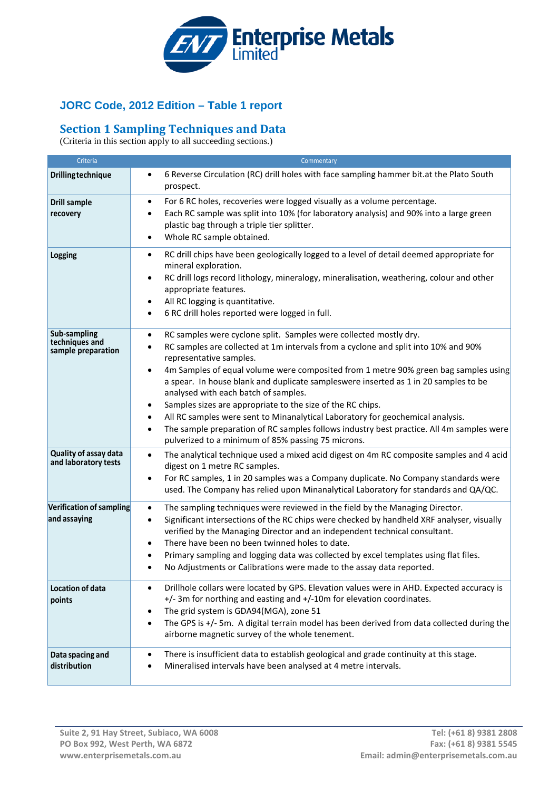

## **JORC Code, 2012 Edition – Table 1 report**

## **Section 1 Sampling Techniques and Data**

(Criteria in this section apply to all succeeding sections.)

| Criteria                                             | Commentary                                                                                                                                                                                                                                                                                                                                                                                                                                                                                                                                                                                                                                                                                                                                                  |
|------------------------------------------------------|-------------------------------------------------------------------------------------------------------------------------------------------------------------------------------------------------------------------------------------------------------------------------------------------------------------------------------------------------------------------------------------------------------------------------------------------------------------------------------------------------------------------------------------------------------------------------------------------------------------------------------------------------------------------------------------------------------------------------------------------------------------|
| <b>Drilling technique</b>                            | 6 Reverse Circulation (RC) drill holes with face sampling hammer bit.at the Plato South<br>$\bullet$<br>prospect.                                                                                                                                                                                                                                                                                                                                                                                                                                                                                                                                                                                                                                           |
| <b>Drill sample</b><br>recovery                      | For 6 RC holes, recoveries were logged visually as a volume percentage.<br>$\bullet$<br>Each RC sample was split into 10% (for laboratory analysis) and 90% into a large green<br>٠<br>plastic bag through a triple tier splitter.<br>Whole RC sample obtained.<br>$\bullet$                                                                                                                                                                                                                                                                                                                                                                                                                                                                                |
| <b>Logging</b>                                       | RC drill chips have been geologically logged to a level of detail deemed appropriate for<br>$\bullet$<br>mineral exploration.<br>RC drill logs record lithology, mineralogy, mineralisation, weathering, colour and other<br>$\bullet$<br>appropriate features.<br>All RC logging is quantitative.<br>٠<br>6 RC drill holes reported were logged in full.<br>٠                                                                                                                                                                                                                                                                                                                                                                                              |
| Sub-sampling<br>techniques and<br>sample preparation | RC samples were cyclone split. Samples were collected mostly dry.<br>$\bullet$<br>RC samples are collected at 1m intervals from a cyclone and split into 10% and 90%<br>$\bullet$<br>representative samples.<br>4m Samples of equal volume were composited from 1 metre 90% green bag samples using<br>٠<br>a spear. In house blank and duplicate sampleswere inserted as 1 in 20 samples to be<br>analysed with each batch of samples.<br>Samples sizes are appropriate to the size of the RC chips.<br>٠<br>All RC samples were sent to Minanalytical Laboratory for geochemical analysis.<br>The sample preparation of RC samples follows industry best practice. All 4m samples were<br>$\bullet$<br>pulverized to a minimum of 85% passing 75 microns. |
| Quality of assay data<br>and laboratory tests        | The analytical technique used a mixed acid digest on 4m RC composite samples and 4 acid<br>$\bullet$<br>digest on 1 metre RC samples.<br>For RC samples, 1 in 20 samples was a Company duplicate. No Company standards were<br>$\bullet$<br>used. The Company has relied upon Minanalytical Laboratory for standards and QA/QC.                                                                                                                                                                                                                                                                                                                                                                                                                             |
| Verification of sampling<br>and assaying             | The sampling techniques were reviewed in the field by the Managing Director.<br>$\bullet$<br>Significant intersections of the RC chips were checked by handheld XRF analyser, visually<br>$\bullet$<br>verified by the Managing Director and an independent technical consultant.<br>There have been no been twinned holes to date.<br>٠<br>Primary sampling and logging data was collected by excel templates using flat files.<br>No Adjustments or Calibrations were made to the assay data reported.                                                                                                                                                                                                                                                    |
| Location of data<br>points                           | Drillhole collars were located by GPS. Elevation values were in AHD. Expected accuracy is<br>$\bullet$<br>+/- 3m for northing and easting and +/-10m for elevation coordinates.<br>The grid system is GDA94(MGA), zone 51<br>The GPS is +/- 5m. A digital terrain model has been derived from data collected during the<br>$\bullet$<br>airborne magnetic survey of the whole tenement.                                                                                                                                                                                                                                                                                                                                                                     |
| Data spacing and<br>distribution                     | There is insufficient data to establish geological and grade continuity at this stage.<br>$\bullet$<br>Mineralised intervals have been analysed at 4 metre intervals.                                                                                                                                                                                                                                                                                                                                                                                                                                                                                                                                                                                       |